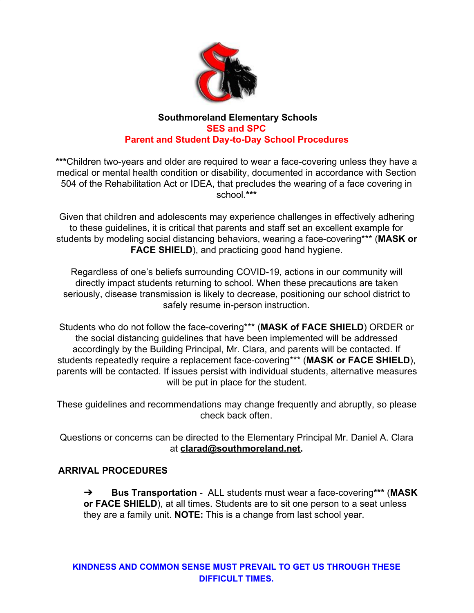

#### **Southmoreland Elementary Schools SES and SPC Parent and Student Day-to-Day School Procedures**

**\*\*\***Children two-years and older are required to wear a face-covering unless they have a medical or mental health condition or disability, documented in accordance with Section 504 of the Rehabilitation Act or IDEA, that precludes the wearing of a face covering in school.**\*\*\***

Given that children and adolescents may experience challenges in effectively adhering to these guidelines, it is critical that parents and staff set an excellent example for students by modeling social distancing behaviors, wearing a face-covering\*\*\* (**MASK or FACE SHIELD**), and practicing good hand hygiene.

Regardless of one's beliefs surrounding COVID-19, actions in our community will directly impact students returning to school. When these precautions are taken seriously, disease transmission is likely to decrease, positioning our school district to safely resume in-person instruction.

Students who do not follow the face-covering\*\*\* (**MASK of FACE SHIELD**) ORDER or the social distancing guidelines that have been implemented will be addressed accordingly by the Building Principal, Mr. Clara, and parents will be contacted. If students repeatedly require a replacement face-covering\*\*\* (**MASK or FACE SHIELD**), parents will be contacted. If issues persist with individual students, alternative measures will be put in place for the student.

These guidelines and recommendations may change frequently and abruptly, so please check back often.

Questions or concerns can be directed to the Elementary Principal Mr. Daniel A. Clara at **[clarad@southmoreland.net](mailto:clarad@southmoreland.net).**

## **ARRIVAL PROCEDURES**

➔ **Bus Transportation** - ALL students must wear a face-covering**\*\*\*** (**MASK or FACE SHIELD**), at all times. Students are to sit one person to a seat unless they are a family unit. **NOTE:** This is a change from last school year.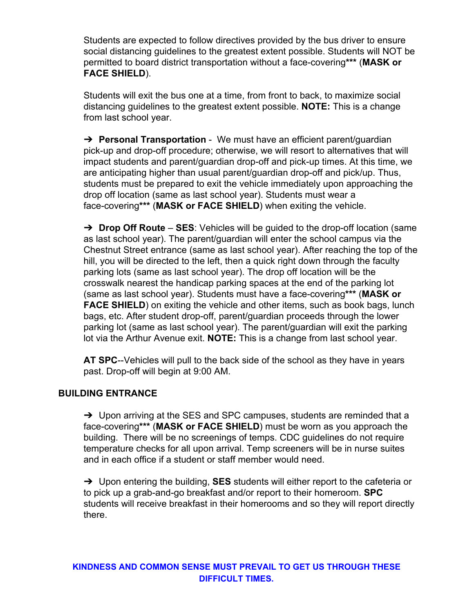Students are expected to follow directives provided by the bus driver to ensure social distancing guidelines to the greatest extent possible. Students will NOT be permitted to board district transportation without a face-covering**\*\*\*** (**MASK or FACE SHIELD**).

Students will exit the bus one at a time, from front to back, to maximize social distancing guidelines to the greatest extent possible. **NOTE:** This is a change from last school year.

➔ **Personal Transportation** - We must have an efficient parent/guardian pick-up and drop-off procedure; otherwise, we will resort to alternatives that will impact students and parent/guardian drop-off and pick-up times. At this time, we are anticipating higher than usual parent/guardian drop-off and pick/up. Thus, students must be prepared to exit the vehicle immediately upon approaching the drop off location (same as last school year). Students must wear a face-covering**\*\*\*** (**MASK or FACE SHIELD**) when exiting the vehicle.

➔ **Drop Off Route** – **SES**: Vehicles will be guided to the drop-off location (same as last school year). The parent/guardian will enter the school campus via the Chestnut Street entrance (same as last school year). After reaching the top of the hill, you will be directed to the left, then a quick right down through the faculty parking lots (same as last school year). The drop off location will be the crosswalk nearest the handicap parking spaces at the end of the parking lot (same as last school year). Students must have a face-covering**\*\*\*** (**MASK or FACE SHIELD**) on exiting the vehicle and other items, such as book bags, lunch bags, etc. After student drop-off, parent/guardian proceeds through the lower parking lot (same as last school year). The parent/guardian will exit the parking lot via the Arthur Avenue exit. **NOTE:** This is a change from last school year.

**AT SPC**--Vehicles will pull to the back side of the school as they have in years past. Drop-off will begin at 9:00 AM.

#### **BUILDING ENTRANCE**

 $\rightarrow$  Upon arriving at the SES and SPC campuses, students are reminded that a face-covering**\*\*\*** (**MASK or FACE SHIELD**) must be worn as you approach the building. There will be no screenings of temps. CDC guidelines do not require temperature checks for all upon arrival. Temp screeners will be in nurse suites and in each office if a student or staff member would need.

➔ Upon entering the building, **SES** students will either report to the cafeteria or to pick up a grab-and-go breakfast and/or report to their homeroom. **SPC** students will receive breakfast in their homerooms and so they will report directly there.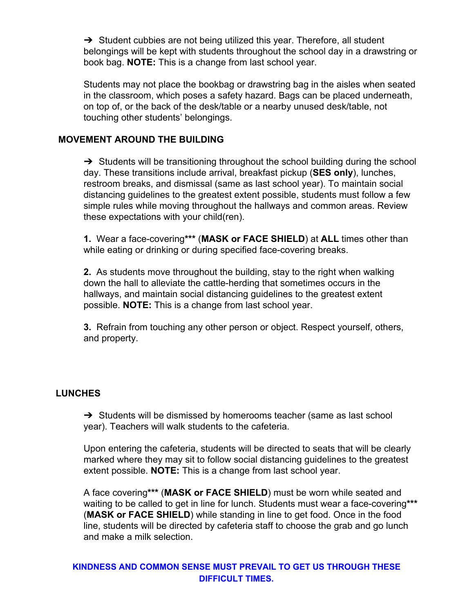$\rightarrow$  Student cubbies are not being utilized this year. Therefore, all student belongings will be kept with students throughout the school day in a drawstring or book bag. **NOTE:** This is a change from last school year.

Students may not place the bookbag or drawstring bag in the aisles when seated in the classroom, which poses a safety hazard. Bags can be placed underneath, on top of, or the back of the desk/table or a nearby unused desk/table, not touching other students' belongings.

#### **MOVEMENT AROUND THE BUILDING**

→ Students will be transitioning throughout the school building during the school day. These transitions include arrival, breakfast pickup (**SES only**), lunches, restroom breaks, and dismissal (same as last school year). To maintain social distancing guidelines to the greatest extent possible, students must follow a few simple rules while moving throughout the hallways and common areas. Review these expectations with your child(ren).

**1.** Wear a face-covering**\*\*\*** (**MASK or FACE SHIELD**) at **ALL** times other than while eating or drinking or during specified face-covering breaks.

**2.** As students move throughout the building, stay to the right when walking down the hall to alleviate the cattle-herding that sometimes occurs in the hallways, and maintain social distancing guidelines to the greatest extent possible. **NOTE:** This is a change from last school year.

**3.** Refrain from touching any other person or object. Respect yourself, others, and property.

#### **LUNCHES**

→ Students will be dismissed by homerooms teacher (same as last school year). Teachers will walk students to the cafeteria.

Upon entering the cafeteria, students will be directed to seats that will be clearly marked where they may sit to follow social distancing guidelines to the greatest extent possible. **NOTE:** This is a change from last school year.

A face covering**\*\*\*** (**MASK or FACE SHIELD**) must be worn while seated and waiting to be called to get in line for lunch. Students must wear a face-covering**\*\*\*** (**MASK or FACE SHIELD**) while standing in line to get food. Once in the food line, students will be directed by cafeteria staff to choose the grab and go lunch and make a milk selection.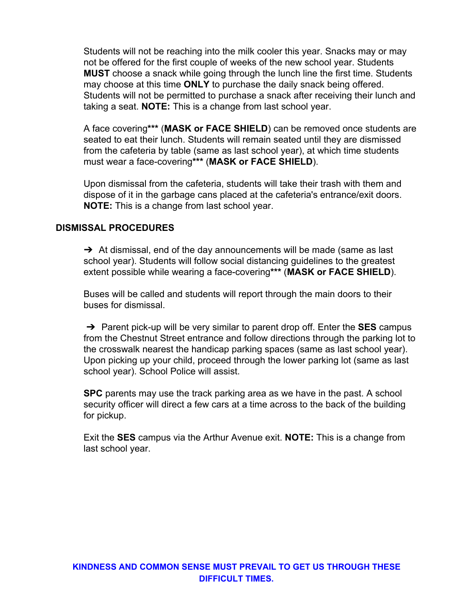Students will not be reaching into the milk cooler this year. Snacks may or may not be offered for the first couple of weeks of the new school year. Students **MUST** choose a snack while going through the lunch line the first time. Students may choose at this time **ONLY** to purchase the daily snack being offered. Students will not be permitted to purchase a snack after receiving their lunch and taking a seat. **NOTE:** This is a change from last school year.

A face covering**\*\*\*** (**MASK or FACE SHIELD**) can be removed once students are seated to eat their lunch. Students will remain seated until they are dismissed from the cafeteria by table (same as last school year), at which time students must wear a face-covering**\*\*\*** (**MASK or FACE SHIELD**).

Upon dismissal from the cafeteria, students will take their trash with them and dispose of it in the garbage cans placed at the cafeteria's entrance/exit doors. **NOTE:** This is a change from last school year.

### **DISMISSAL PROCEDURES**

 $\rightarrow$  At dismissal, end of the day announcements will be made (same as last school year). Students will follow social distancing guidelines to the greatest extent possible while wearing a face-covering**\*\*\*** (**MASK or FACE SHIELD**).

Buses will be called and students will report through the main doors to their buses for dismissal.

➔ Parent pick-up will be very similar to parent drop off. Enter the **SES** campus from the Chestnut Street entrance and follow directions through the parking lot to the crosswalk nearest the handicap parking spaces (same as last school year). Upon picking up your child, proceed through the lower parking lot (same as last school year). School Police will assist.

**SPC** parents may use the track parking area as we have in the past. A school security officer will direct a few cars at a time across to the back of the building for pickup.

Exit the **SES** campus via the Arthur Avenue exit. **NOTE:** This is a change from last school year.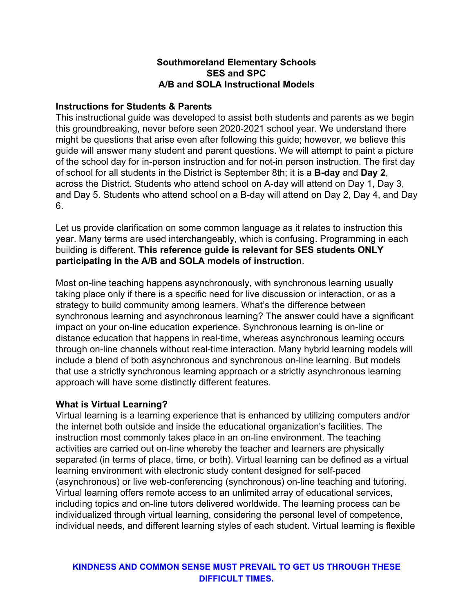### **Southmoreland Elementary Schools SES and SPC A/B and SOLA Instructional Models**

#### **Instructions for Students & Parents**

This instructional guide was developed to assist both students and parents as we begin this groundbreaking, never before seen 2020-2021 school year. We understand there might be questions that arise even after following this guide; however, we believe this guide will answer many student and parent questions. We will attempt to paint a picture of the school day for in-person instruction and for not-in person instruction. The first day of school for all students in the District is September 8th; it is a **B-day** and **Day 2**, across the District. Students who attend school on A-day will attend on Day 1, Day 3, and Day 5. Students who attend school on a B-day will attend on Day 2, Day 4, and Day 6.

Let us provide clarification on some common language as it relates to instruction this year. Many terms are used interchangeably, which is confusing. Programming in each building is different. **This reference guide is relevant for SES students ONLY participating in the A/B and SOLA models of instruction**.

Most on-line teaching happens asynchronously, with synchronous learning usually taking place only if there is a specific need for live discussion or interaction, or as a strategy to build community among learners. What's the difference between synchronous learning and asynchronous learning? The answer could have a significant impact on your on-line education experience. Synchronous learning is on-line or distance education that happens in real-time, whereas asynchronous learning occurs through on-line channels without real-time interaction. Many hybrid learning models will include a blend of both asynchronous and synchronous on-line learning. But models that use a strictly synchronous learning approach or a strictly asynchronous learning approach will have some distinctly different features.

#### **What is Virtual Learning?**

Virtual learning is a learning experience that is enhanced by utilizing computers and/or the internet both outside and inside the educational organization's facilities. The instruction most commonly takes place in an on-line environment. The teaching activities are carried out on-line whereby the teacher and learners are physically separated (in terms of place, time, or both). Virtual learning can be defined as a virtual learning environment with electronic study content designed for self-paced (asynchronous) or live web-conferencing (synchronous) on-line teaching and tutoring. Virtual learning offers remote access to an unlimited array of educational services, including topics and on-line tutors delivered worldwide. The learning process can be individualized through virtual learning, considering the personal level of competence, individual needs, and different learning styles of each student. Virtual learning is flexible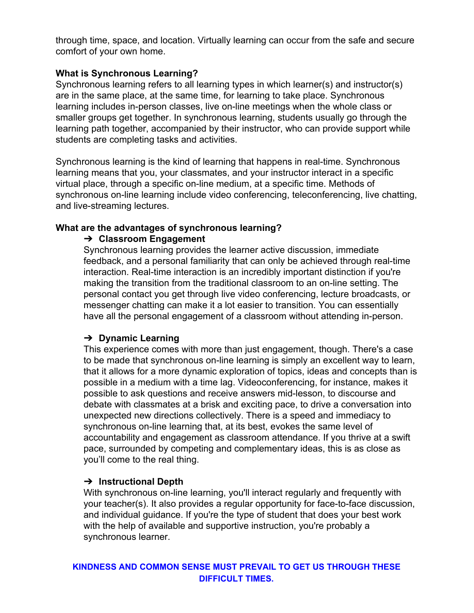through time, space, and location. Virtually learning can occur from the safe and secure comfort of your own home.

### **What is Synchronous Learning?**

Synchronous learning refers to all learning types in which learner(s) and instructor(s) are in the same place, at the same time, for learning to take place. Synchronous learning includes in-person classes, live on-line meetings when the whole class or smaller groups get together. In synchronous learning, students usually go through the learning path together, accompanied by their instructor, who can provide support while students are completing tasks and activities.

Synchronous learning is the kind of learning that happens in real-time. Synchronous learning means that you, your classmates, and your instructor interact in a specific virtual place, through a specific on-line medium, at a specific time. Methods of synchronous on-line learning include video conferencing, teleconferencing, live chatting, and live-streaming lectures.

### **What are the advantages of synchronous learning?**

### ➔ **Classroom Engagement**

Synchronous learning provides the learner active discussion, immediate feedback, and a personal familiarity that can only be achieved through real-time interaction. Real-time interaction is an incredibly important distinction if you're making the transition from the traditional classroom to an on-line setting. The personal contact you get through live video conferencing, lecture broadcasts, or messenger chatting can make it a lot easier to transition. You can essentially have all the personal engagement of a classroom without attending in-person.

## ➔ **Dynamic Learning**

This experience comes with more than just engagement, though. There's a case to be made that synchronous on-line learning is simply an excellent way to learn, that it allows for a more dynamic exploration of topics, ideas and concepts than is possible in a medium with a time lag. Videoconferencing, for instance, makes it possible to ask questions and receive answers mid-lesson, to discourse and debate with classmates at a brisk and exciting pace, to drive a conversation into unexpected new directions collectively. There is a speed and immediacy to synchronous on-line learning that, at its best, evokes the same level of accountability and engagement as classroom attendance. If you thrive at a swift pace, surrounded by competing and complementary ideas, this is as close as you'll come to the real thing.

## ➔ **Instructional Depth**

With synchronous on-line learning, you'll interact regularly and frequently with your teacher(s). It also provides a regular opportunity for face-to-face discussion, and individual guidance. If you're the type of student that does your best work with the help of available and supportive instruction, you're probably a synchronous learner.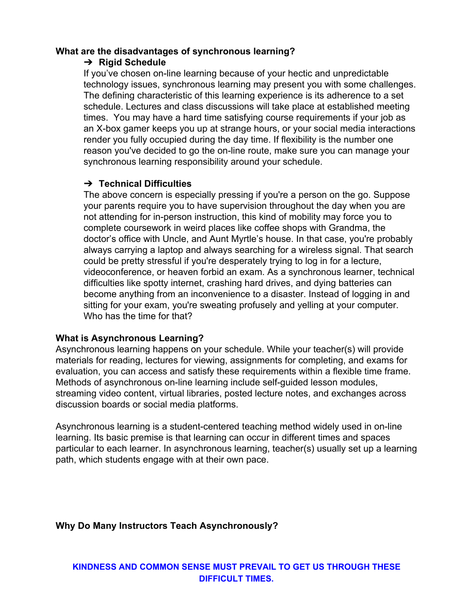#### **What are the disadvantages of synchronous learning?**

### ➔ **Rigid Schedule**

If you've chosen on-line learning because of your hectic and unpredictable technology issues, synchronous learning may present you with some challenges. The defining characteristic of this learning experience is its adherence to a set schedule. Lectures and class discussions will take place at established meeting times. You may have a hard time satisfying course requirements if your job as an X-box gamer keeps you up at strange hours, or your social media interactions render you fully occupied during the day time. If flexibility is the number one reason you've decided to go the on-line route, make sure you can manage your synchronous learning responsibility around your schedule.

## ➔ **Technical Difficulties**

The above concern is especially pressing if you're a person on the go. Suppose your parents require you to have supervision throughout the day when you are not attending for in-person instruction, this kind of mobility may force you to complete coursework in weird places like coffee shops with Grandma, the doctor's office with Uncle, and Aunt Myrtle's house. In that case, you're probably always carrying a laptop and always searching for a wireless signal. That search could be pretty stressful if you're desperately trying to log in for a lecture, videoconference, or heaven forbid an exam. As a synchronous learner, technical difficulties like spotty internet, crashing hard drives, and dying batteries can become anything from an inconvenience to a disaster. Instead of logging in and sitting for your exam, you're sweating profusely and yelling at your computer. Who has the time for that?

## **What is Asynchronous Learning?**

Asynchronous learning happens on your schedule. While your teacher(s) will provide materials for reading, lectures for viewing, assignments for completing, and exams for evaluation, you can access and satisfy these requirements within a flexible time frame. Methods of asynchronous on-line learning include self-guided lesson modules, streaming video content, virtual libraries, posted lecture notes, and exchanges across discussion boards or social media platforms.

Asynchronous learning is a student-centered teaching method widely used in on-line learning. Its basic premise is that learning can occur in different times and spaces particular to each learner. In asynchronous learning, teacher(s) usually set up a learning path, which students engage with at their own pace.

# **Why Do Many Instructors Teach Asynchronously?**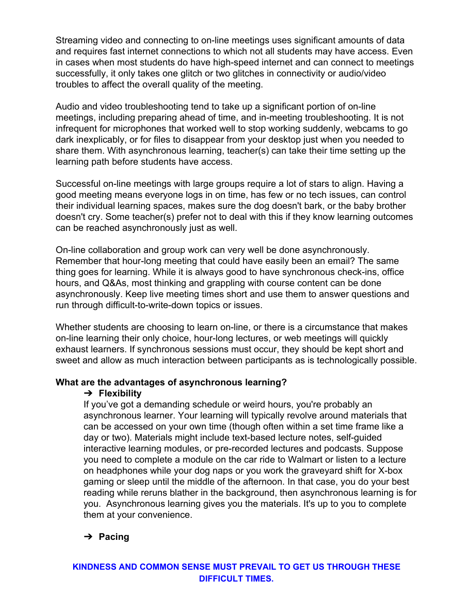Streaming video and connecting to on-line meetings uses significant amounts of data and requires fast internet connections to which not all students may have access. Even in cases when most students do have high-speed internet and can connect to meetings successfully, it only takes one glitch or two glitches in connectivity or audio/video troubles to affect the overall quality of the meeting.

Audio and video troubleshooting tend to take up a significant portion of on-line meetings, including preparing ahead of time, and in-meeting troubleshooting. It is not infrequent for microphones that worked well to stop working suddenly, webcams to go dark inexplicably, or for files to disappear from your desktop just when you needed to share them. With asynchronous learning, teacher(s) can take their time setting up the learning path before students have access.

Successful on-line meetings with large groups require a lot of stars to align. Having a good meeting means everyone logs in on time, has few or no tech issues, can control their individual learning spaces, makes sure the dog doesn't bark, or the baby brother doesn't cry. Some teacher(s) prefer not to deal with this if they know learning outcomes can be reached asynchronously just as well.

On-line collaboration and group work can very well be done asynchronously. Remember that hour-long meeting that could have easily been an email? The same thing goes for learning. While it is always good to have synchronous check-ins, office hours, and Q&As, most thinking and grappling with course content can be done asynchronously. Keep live meeting times short and use them to answer questions and run through difficult-to-write-down topics or issues.

Whether students are choosing to learn on-line, or there is a circumstance that makes on-line learning their only choice, hour-long lectures, or web meetings will quickly exhaust learners. If synchronous sessions must occur, they should be kept short and sweet and allow as much interaction between participants as is technologically possible.

#### **What are the advantages of asynchronous learning?**

## ➔ **Flexibility**

If you've got a demanding schedule or weird hours, you're probably an asynchronous learner. Your learning will typically revolve around materials that can be accessed on your own time (though often within a set time frame like a day or two). Materials might include text-based lecture notes, self-guided interactive learning modules, or pre-recorded lectures and podcasts. Suppose you need to complete a module on the car ride to Walmart or listen to a lecture on headphones while your dog naps or you work the graveyard shift for X-box gaming or sleep until the middle of the afternoon. In that case, you do your best reading while reruns blather in the background, then asynchronous learning is for you. Asynchronous learning gives you the materials. It's up to you to complete them at your convenience.

# ➔ **Pacing**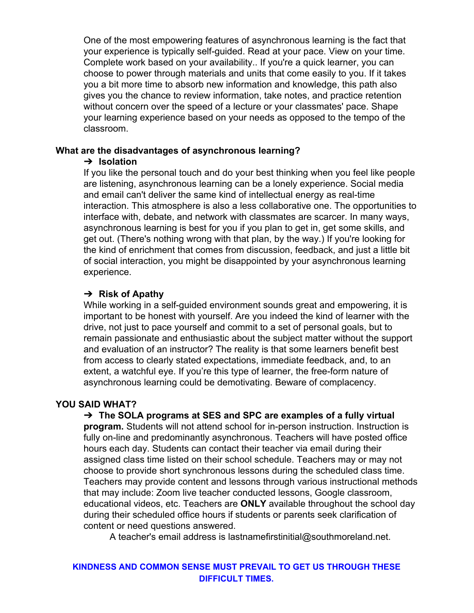One of the most empowering features of asynchronous learning is the fact that your experience is typically self-guided. Read at your pace. View on your time. Complete work based on your availability.. If you're a quick learner, you can choose to power through materials and units that come easily to you. If it takes you a bit more time to absorb new information and knowledge, this path also gives you the chance to review information, take notes, and practice retention without concern over the speed of a lecture or your classmates' pace. Shape your learning experience based on your needs as opposed to the tempo of the classroom.

#### **What are the disadvantages of asynchronous learning?**

### ➔ **Isolation**

If you like the personal touch and do your best thinking when you feel like people are listening, asynchronous learning can be a lonely experience. Social media and email can't deliver the same kind of intellectual energy as real-time interaction. This atmosphere is also a less collaborative one. The opportunities to interface with, debate, and network with classmates are scarcer. In many ways, asynchronous learning is best for you if you plan to get in, get some skills, and get out. (There's nothing wrong with that plan, by the way.) If you're looking for the kind of enrichment that comes from discussion, feedback, and just a little bit of social interaction, you might be disappointed by your asynchronous learning experience.

## ➔ **Risk of Apathy**

While working in a self-guided environment sounds great and empowering, it is important to be honest with yourself. Are you indeed the kind of learner with the drive, not just to pace yourself and commit to a set of personal goals, but to remain passionate and enthusiastic about the subject matter without the support and evaluation of an instructor? The reality is that some learners benefit best from access to clearly stated expectations, immediate feedback, and, to an extent, a watchful eye. If you're this type of learner, the free-form nature of asynchronous learning could be demotivating. Beware of complacency.

## **YOU SAID WHAT?**

➔ **The SOLA programs at SES and SPC are examples of a fully virtual program.** Students will not attend school for in-person instruction. Instruction is fully on-line and predominantly asynchronous. Teachers will have posted office hours each day. Students can contact their teacher via email during their assigned class time listed on their school schedule. Teachers may or may not choose to provide short synchronous lessons during the scheduled class time. Teachers may provide content and lessons through various instructional methods that may include: Zoom live teacher conducted lessons, Google classroom, educational videos, etc. Teachers are **ONLY** available throughout the school day during their scheduled office hours if students or parents seek clarification of content or need questions answered.

A teacher's email address is lastnamefirstinitial@southmoreland.net.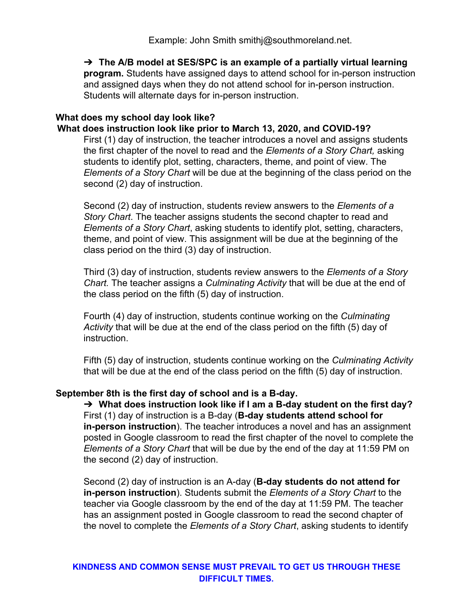Example: John Smith smithj@southmoreland.net.

➔ **The A/B model at SES/SPC is an example of a partially virtual learning program.** Students have assigned days to attend school for in-person instruction and assigned days when they do not attend school for in-person instruction. Students will alternate days for in-person instruction.

#### **What does my school day look like?**

**What does instruction look like prior to March 13, 2020, and COVID-19?**

First (1) day of instruction, the teacher introduces a novel and assigns students the first chapter of the novel to read and the *Elements of a Story Chart,* asking students to identify plot, setting, characters, theme, and point of view. The *Elements of a Story Chart* will be due at the beginning of the class period on the second (2) day of instruction.

Second (2) day of instruction, students review answers to the *Elements of a Story Chart*. The teacher assigns students the second chapter to read and *Elements of a Story Chart*, asking students to identify plot, setting, characters, theme, and point of view. This assignment will be due at the beginning of the class period on the third (3) day of instruction.

Third (3) day of instruction, students review answers to the *Elements of a Story Chart.* The teacher assigns a *Culminating Activity* that will be due at the end of the class period on the fifth (5) day of instruction.

Fourth (4) day of instruction, students continue working on the *Culminating Activity* that will be due at the end of the class period on the fifth (5) day of instruction.

Fifth (5) day of instruction, students continue working on the *Culminating Activity* that will be due at the end of the class period on the fifth (5) day of instruction.

#### **September 8th is the first day of school and is a B-day.**

➔ **What does instruction look like if I am a B-day student on the first day?** First (1) day of instruction is a B-day (**B-day students attend school for in-person instruction**). The teacher introduces a novel and has an assignment posted in Google classroom to read the first chapter of the novel to complete the *Elements of a Story Chart* that will be due by the end of the day at 11:59 PM on the second (2) day of instruction.

Second (2) day of instruction is an A-day (**B-day students do not attend for in-person instruction**). Students submit the *Elements of a Story Chart* to the teacher via Google classroom by the end of the day at 11:59 PM. The teacher has an assignment posted in Google classroom to read the second chapter of the novel to complete the *Elements of a Story Chart*, asking students to identify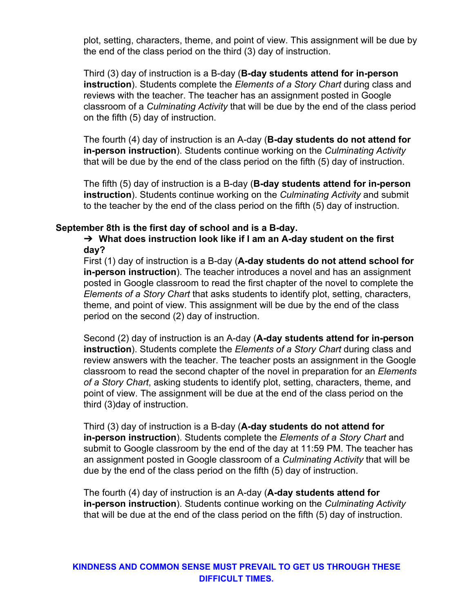plot, setting, characters, theme, and point of view. This assignment will be due by the end of the class period on the third (3) day of instruction.

Third (3) day of instruction is a B-day (**B-day students attend for in-person instruction**). Students complete the *Elements of a Story Chart* during class and reviews with the teacher. The teacher has an assignment posted in Google classroom of a *Culminating Activity* that will be due by the end of the class period on the fifth (5) day of instruction.

The fourth (4) day of instruction is an A-day (**B-day students do not attend for in-person instruction**). Students continue working on the *Culminating Activity* that will be due by the end of the class period on the fifth (5) day of instruction.

The fifth (5) day of instruction is a B-day (**B-day students attend for in-person instruction**). Students continue working on the *Culminating Activity* and submit to the teacher by the end of the class period on the fifth (5) day of instruction.

#### **September 8th is the first day of school and is a B-day.**

➔ **What does instruction look like if I am an A-day student on the first day?**

First (1) day of instruction is a B-day (**A-day students do not attend school for in-person instruction**). The teacher introduces a novel and has an assignment posted in Google classroom to read the first chapter of the novel to complete the *Elements of a Story Chart* that asks students to identify plot, setting, characters, theme, and point of view. This assignment will be due by the end of the class period on the second (2) day of instruction.

Second (2) day of instruction is an A-day (**A-day students attend for in-person instruction**). Students complete the *Elements of a Story Chart* during class and review answers with the teacher. The teacher posts an assignment in the Google classroom to read the second chapter of the novel in preparation for an *Elements of a Story Chart*, asking students to identify plot, setting, characters, theme, and point of view. The assignment will be due at the end of the class period on the third (3)day of instruction.

Third (3) day of instruction is a B-day (**A-day students do not attend for in-person instruction**). Students complete the *Elements of a Story Chart* and submit to Google classroom by the end of the day at 11:59 PM. The teacher has an assignment posted in Google classroom of a *Culminating Activity* that will be due by the end of the class period on the fifth (5) day of instruction.

The fourth (4) day of instruction is an A-day (**A-day students attend for in-person instruction**). Students continue working on the *Culminating Activity* that will be due at the end of the class period on the fifth (5) day of instruction.